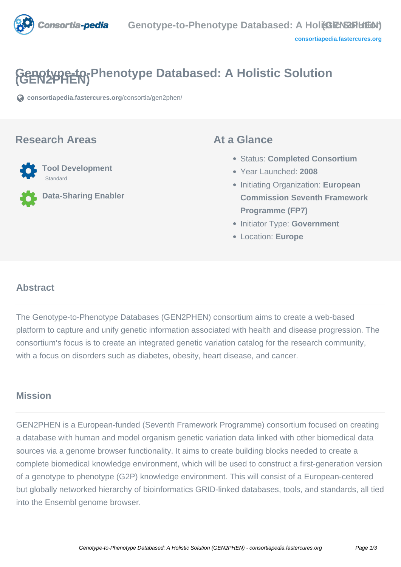

# **Genotype-to-Phenotype Databased: A Holistic Solution (GEN2PHEN)**

**[consortiapedia.fastercures.org](https://consortiapedia.fastercures.org/consortia/gen2phen/)**[/consortia/gen2phen/](https://consortiapedia.fastercures.org/consortia/gen2phen/)

### **Research Areas**



**Data-Sharing Enabler**

## **At a Glance**

- Status: **Completed Consortium**
- Year Launched: **2008**
- Initiating Organization: **European Commission Seventh Framework Programme (FP7)**
- **Initiator Type: Government**
- Location: **Europe**

#### $\overline{a}$ **Abstract**

The Genotype-to-Phenotype Databases (GEN2PHEN) consortium aims to create a web-based platform to capture and unify genetic information associated with health and disease progression. The consortium's focus is to create an integrated genetic variation catalog for the research community, with a focus on disorders such as diabetes, obesity, heart disease, and cancer.

# **Mission**

GEN2PHEN is a European-funded (Seventh Framework Programme) consortium focused on creating a database with human and model organism genetic variation data linked with other biomedical data sources via a genome browser functionality. It aims to create building blocks needed to create a complete biomedical knowledge environment, which will be used to construct a first-generation version of a genotype to phenotype (G2P) knowledge environment. This will consist of a European-centered but globally networked hierarchy of bioinformatics GRID-linked databases, tools, and standards, all tied into the Ensembl genome browser.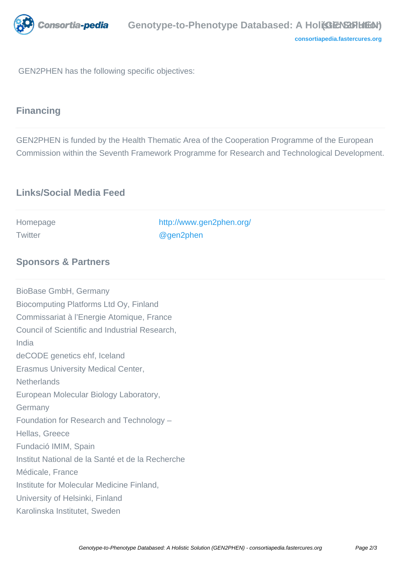

**[consortiapedia.fastercures.org](http://consortiapedia.fastercures.org/)**

GEN2PHEN has the following specific objectives:

# **Financing**

GEN2PHEN is funded by the Health Thematic Area of the Cooperation Programme of the European Commission within the Seventh Framework Programme for Research and Technological Development.

| <b>Links/Social Media Feed</b>                   |                                       |  |
|--------------------------------------------------|---------------------------------------|--|
| Homepage<br>Twitter                              | http://www.gen2phen.org/<br>@gen2phen |  |
|                                                  |                                       |  |
| <b>Sponsors &amp; Partners</b>                   |                                       |  |
| BioBase GmbH, Germany                            |                                       |  |
| Biocomputing Platforms Ltd Oy, Finland           |                                       |  |
| Commissariat à l'Energie Atomique, France        |                                       |  |
| Council of Scientific and Industrial Research,   |                                       |  |
| India                                            |                                       |  |
| deCODE genetics ehf, Iceland                     |                                       |  |
| <b>Erasmus University Medical Center,</b>        |                                       |  |
| <b>Netherlands</b>                               |                                       |  |
| European Molecular Biology Laboratory,           |                                       |  |
| Germany                                          |                                       |  |
| Foundation for Research and Technology -         |                                       |  |
| Hellas, Greece                                   |                                       |  |
| Fundació IMIM, Spain                             |                                       |  |
| Institut National de la Santé et de la Recherche |                                       |  |
| Médicale, France                                 |                                       |  |
| Institute for Molecular Medicine Finland,        |                                       |  |
| University of Helsinki, Finland                  |                                       |  |
| Karolinska Institutet, Sweden                    |                                       |  |